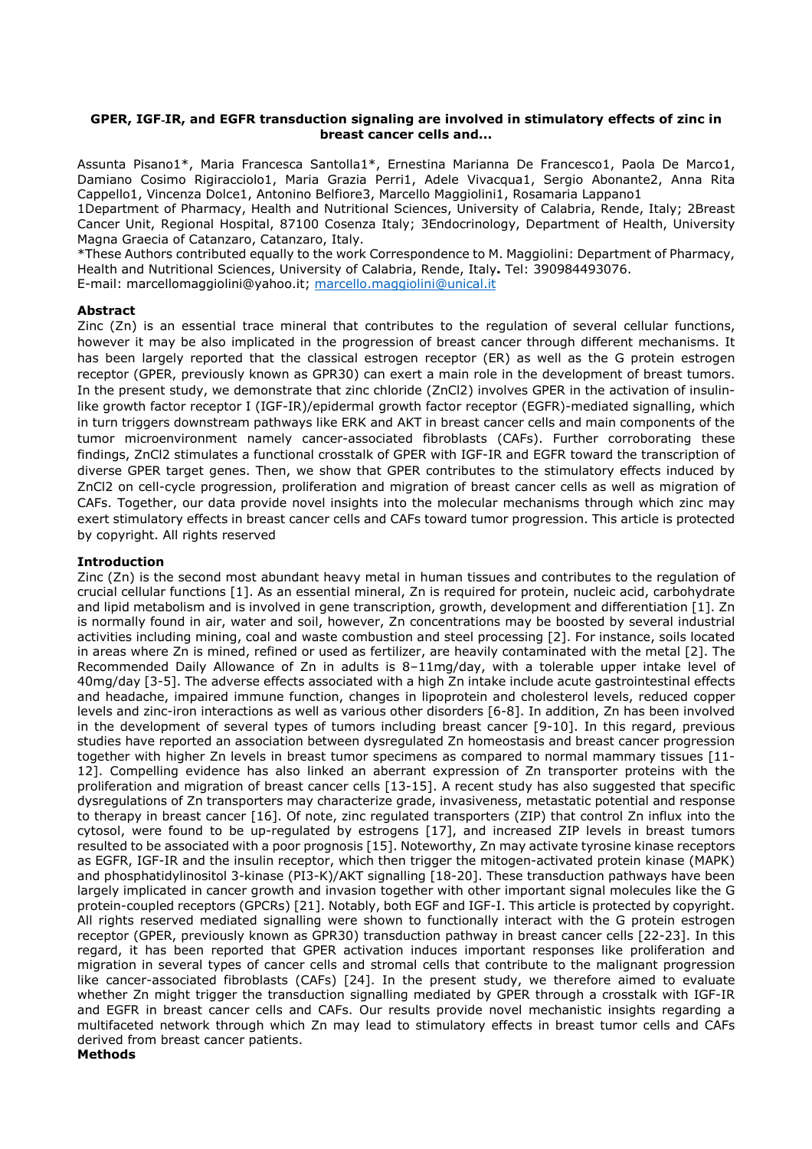#### **GPER, IGF**‐**IR, and EGFR transduction signaling are involved in stimulatory effects of zinc in breast cancer cells and...**

Assunta Pisano1\*, Maria Francesca Santolla1\*, Ernestina Marianna De Francesco1, Paola De Marco1, Damiano Cosimo Rigiracciolo1, Maria Grazia Perri1, Adele Vivacqua1, Sergio Abonante2, Anna Rita Cappello1, Vincenza Dolce1, Antonino Belfiore3, Marcello Maggiolini1, Rosamaria Lappano1

1Department of Pharmacy, Health and Nutritional Sciences, University of Calabria, Rende, Italy; 2Breast Cancer Unit, Regional Hospital, 87100 Cosenza Italy; 3Endocrinology, Department of Health, University Magna Graecia of Catanzaro, Catanzaro, Italy.

\*These Authors contributed equally to the work Correspondence to M. Maggiolini: Department of Pharmacy, Health and Nutritional Sciences, University of Calabria, Rende, Italy**.** Tel: 390984493076. E-mail: marcellomaggiolini@yahoo.it; marcello.maggiolini@unical.it

# **Abstract**

Zinc (Zn) is an essential trace mineral that contributes to the regulation of several cellular functions, however it may be also implicated in the progression of breast cancer through different mechanisms. It has been largely reported that the classical estrogen receptor (ER) as well as the G protein estrogen receptor (GPER, previously known as GPR30) can exert a main role in the development of breast tumors. In the present study, we demonstrate that zinc chloride (ZnCl2) involves GPER in the activation of insulinlike growth factor receptor I (IGF-IR)/epidermal growth factor receptor (EGFR)-mediated signalling, which in turn triggers downstream pathways like ERK and AKT in breast cancer cells and main components of the tumor microenvironment namely cancer-associated fibroblasts (CAFs). Further corroborating these findings, ZnCl2 stimulates a functional crosstalk of GPER with IGF-IR and EGFR toward the transcription of diverse GPER target genes. Then, we show that GPER contributes to the stimulatory effects induced by ZnCl2 on cell-cycle progression, proliferation and migration of breast cancer cells as well as migration of CAFs. Together, our data provide novel insights into the molecular mechanisms through which zinc may exert stimulatory effects in breast cancer cells and CAFs toward tumor progression. This article is protected by copyright. All rights reserved

## **Introduction**

Zinc (Zn) is the second most abundant heavy metal in human tissues and contributes to the regulation of crucial cellular functions [1]. As an essential mineral, Zn is required for protein, nucleic acid, carbohydrate and lipid metabolism and is involved in gene transcription, growth, development and differentiation [1]. Zn is normally found in air, water and soil, however, Zn concentrations may be boosted by several industrial activities including mining, coal and waste combustion and steel processing [2]. For instance, soils located in areas where Zn is mined, refined or used as fertilizer, are heavily contaminated with the metal [2]. The Recommended Daily Allowance of Zn in adults is 8–11mg/day, with a tolerable upper intake level of 40mg/day [3-5]. The adverse effects associated with a high Zn intake include acute gastrointestinal effects and headache, impaired immune function, changes in lipoprotein and cholesterol levels, reduced copper levels and zinc-iron interactions as well as various other disorders [6-8]. In addition, Zn has been involved in the development of several types of tumors including breast cancer [9-10]. In this regard, previous studies have reported an association between dysregulated Zn homeostasis and breast cancer progression together with higher Zn levels in breast tumor specimens as compared to normal mammary tissues [11- 12]. Compelling evidence has also linked an aberrant expression of Zn transporter proteins with the proliferation and migration of breast cancer cells [13-15]. A recent study has also suggested that specific dysregulations of Zn transporters may characterize grade, invasiveness, metastatic potential and response to therapy in breast cancer [16]. Of note, zinc regulated transporters (ZIP) that control Zn influx into the cytosol, were found to be up-regulated by estrogens [17], and increased ZIP levels in breast tumors resulted to be associated with a poor prognosis [15]. Noteworthy, Zn may activate tyrosine kinase receptors as EGFR, IGF-IR and the insulin receptor, which then trigger the mitogen-activated protein kinase (MAPK) and phosphatidylinositol 3-kinase (PI3-K)/AKT signalling [18-20]. These transduction pathways have been largely implicated in cancer growth and invasion together with other important signal molecules like the G protein-coupled receptors (GPCRs) [21]. Notably, both EGF and IGF-I. This article is protected by copyright. All rights reserved mediated signalling were shown to functionally interact with the G protein estrogen receptor (GPER, previously known as GPR30) transduction pathway in breast cancer cells [22-23]. In this regard, it has been reported that GPER activation induces important responses like proliferation and migration in several types of cancer cells and stromal cells that contribute to the malignant progression like cancer-associated fibroblasts (CAFs) [24]. In the present study, we therefore aimed to evaluate whether Zn might trigger the transduction signalling mediated by GPER through a crosstalk with IGF-IR and EGFR in breast cancer cells and CAFs. Our results provide novel mechanistic insights regarding a multifaceted network through which Zn may lead to stimulatory effects in breast tumor cells and CAFs derived from breast cancer patients. **Methods**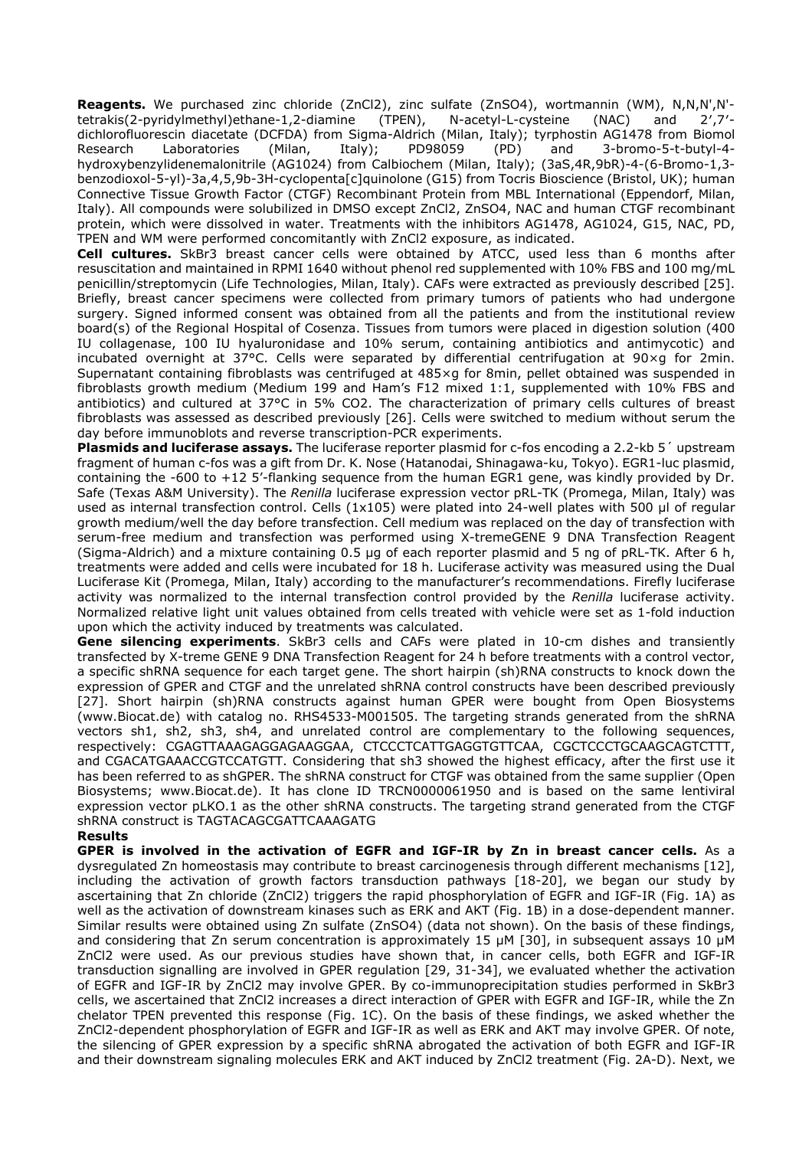**Reagents.** We purchased zinc chloride (ZnCl2), zinc sulfate (ZnSO4), wortmannin (WM), N,N,N',N'-<br>tetrakis(2-pyridylmethyl)ethane-1,2-diamine (TPEN). N-acetyl-L-cysteine (NAC) and 2'.7'tetrakis(2-pyridylmethyl)ethane-1,2-diamine (TPEN), N-acetyl-L-cysteine (NAC) and 2′,7′ dichlorofluorescin diacetate (DCFDA) from Sigma-Aldrich (Milan, Italy); tyrphostin AG1478 from Biomol Research Laboratories (Milan, Italy); PD98059 (PD) and 3-bromo-5-t-butyl-4 hydroxybenzylidenemalonitrile (AG1024) from Calbiochem (Milan, Italy); (3aS,4R,9bR)-4-(6-Bromo-1,3 benzodioxol-5-yl)-3a,4,5,9b-3H-cyclopenta[c]quinolone (G15) from Tocris Bioscience (Bristol, UK); human Connective Tissue Growth Factor (CTGF) Recombinant Protein from MBL International (Eppendorf, Milan, Italy). All compounds were solubilized in DMSO except ZnCl2, ZnSO4, NAC and human CTGF recombinant protein, which were dissolved in water. Treatments with the inhibitors AG1478, AG1024, G15, NAC, PD, TPEN and WM were performed concomitantly with ZnCl2 exposure, as indicated.

**Cell cultures.** SkBr3 breast cancer cells were obtained by ATCC, used less than 6 months after resuscitation and maintained in RPMI 1640 without phenol red supplemented with 10% FBS and 100 mg/mL penicillin/streptomycin (Life Technologies, Milan, Italy). CAFs were extracted as previously described [25]. Briefly, breast cancer specimens were collected from primary tumors of patients who had undergone surgery. Signed informed consent was obtained from all the patients and from the institutional review board(s) of the Regional Hospital of Cosenza. Tissues from tumors were placed in digestion solution (400 IU collagenase, 100 IU hyaluronidase and 10% serum, containing antibiotics and antimycotic) and incubated overnight at 37°C. Cells were separated by differential centrifugation at 90×g for 2min. Supernatant containing fibroblasts was centrifuged at 485×g for 8min, pellet obtained was suspended in fibroblasts growth medium (Medium 199 and Ham's F12 mixed 1:1, supplemented with 10% FBS and antibiotics) and cultured at 37°C in 5% CO2. The characterization of primary cells cultures of breast fibroblasts was assessed as described previously [26]. Cells were switched to medium without serum the day before immunoblots and reverse transcription-PCR experiments.

**Plasmids and luciferase assays.** The luciferase reporter plasmid for c-fos encoding a 2.2-kb 5´ upstream fragment of human c-fos was a gift from Dr. K. Nose (Hatanodai, Shinagawa-ku, Tokyo). EGR1-luc plasmid, containing the -600 to +12 5'-flanking sequence from the human EGR1 gene, was kindly provided by Dr. Safe (Texas A&M University). The *Renilla* luciferase expression vector pRL-TK (Promega, Milan, Italy) was used as internal transfection control. Cells (1x105) were plated into 24-well plates with 500 µl of regular growth medium/well the day before transfection. Cell medium was replaced on the day of transfection with serum-free medium and transfection was performed using X-tremeGENE 9 DNA Transfection Reagent (Sigma-Aldrich) and a mixture containing 0.5 µg of each reporter plasmid and 5 ng of pRL-TK. After 6 h, treatments were added and cells were incubated for 18 h. Luciferase activity was measured using the Dual Luciferase Kit (Promega, Milan, Italy) according to the manufacturer's recommendations. Firefly luciferase activity was normalized to the internal transfection control provided by the *Renilla* luciferase activity. Normalized relative light unit values obtained from cells treated with vehicle were set as 1-fold induction upon which the activity induced by treatments was calculated.

**Gene silencing experiments**. SkBr3 cells and CAFs were plated in 10-cm dishes and transiently transfected by X-treme GENE 9 DNA Transfection Reagent for 24 h before treatments with a control vector, a specific shRNA sequence for each target gene. The short hairpin (sh)RNA constructs to knock down the expression of GPER and CTGF and the unrelated shRNA control constructs have been described previously [27]. Short hairpin (sh)RNA constructs against human GPER were bought from Open Biosystems (www.Biocat.de) with catalog no. RHS4533-M001505. The targeting strands generated from the shRNA vectors sh1, sh2, sh3, sh4, and unrelated control are complementary to the following sequences, respectively: CGAGTTAAAGAGGAGAAGGAA, CTCCCTCATTGAGGTGTTCAA, CGCTCCCTGCAAGCAGTCTTT, and CGACATGAAACCGTCCATGTT. Considering that sh3 showed the highest efficacy, after the first use it has been referred to as shGPER. The shRNA construct for CTGF was obtained from the same supplier (Open Biosystems; www.Biocat.de). It has clone ID TRCN0000061950 and is based on the same lentiviral expression vector pLKO.1 as the other shRNA constructs. The targeting strand generated from the CTGF shRNA construct is TAGTACAGCGATTCAAAGATG

#### **Results**

**GPER is involved in the activation of EGFR and IGF-IR by Zn in breast cancer cells.** As a dysregulated Zn homeostasis may contribute to breast carcinogenesis through different mechanisms [12], including the activation of growth factors transduction pathways [18-20], we began our study by ascertaining that Zn chloride (ZnCl2) triggers the rapid phosphorylation of EGFR and IGF-IR (Fig. 1A) as well as the activation of downstream kinases such as ERK and AKT (Fig. 1B) in a dose-dependent manner. Similar results were obtained using Zn sulfate (ZnSO4) (data not shown). On the basis of these findings, and considering that Zn serum concentration is approximately 15  $\mu$ M [30], in subsequent assays 10  $\mu$ M ZnCl2 were used. As our previous studies have shown that, in cancer cells, both EGFR and IGF-IR transduction signalling are involved in GPER regulation [29, 31-34], we evaluated whether the activation of EGFR and IGF-IR by ZnCl2 may involve GPER. By co-immunoprecipitation studies performed in SkBr3 cells, we ascertained that ZnCl2 increases a direct interaction of GPER with EGFR and IGF-IR, while the Zn chelator TPEN prevented this response (Fig. 1C). On the basis of these findings, we asked whether the ZnCl2-dependent phosphorylation of EGFR and IGF-IR as well as ERK and AKT may involve GPER. Of note, the silencing of GPER expression by a specific shRNA abrogated the activation of both EGFR and IGF-IR and their downstream signaling molecules ERK and AKT induced by ZnCl2 treatment (Fig. 2A-D). Next, we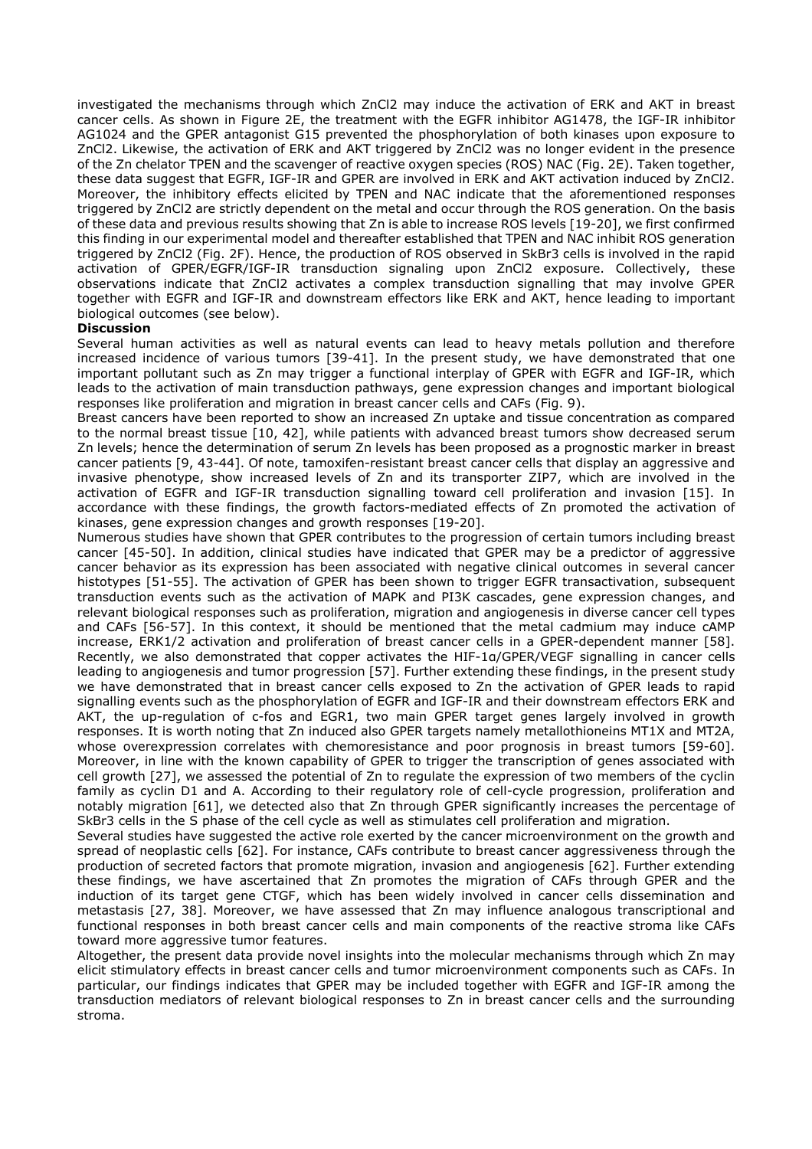investigated the mechanisms through which ZnCl2 may induce the activation of ERK and AKT in breast cancer cells. As shown in Figure 2E, the treatment with the EGFR inhibitor AG1478, the IGF-IR inhibitor AG1024 and the GPER antagonist G15 prevented the phosphorylation of both kinases upon exposure to ZnCl2. Likewise, the activation of ERK and AKT triggered by ZnCl2 was no longer evident in the presence of the Zn chelator TPEN and the scavenger of reactive oxygen species (ROS) NAC (Fig. 2E). Taken together, these data suggest that EGFR, IGF-IR and GPER are involved in ERK and AKT activation induced by ZnCl2. Moreover, the inhibitory effects elicited by TPEN and NAC indicate that the aforementioned responses triggered by ZnCl2 are strictly dependent on the metal and occur through the ROS generation. On the basis of these data and previous results showing that Zn is able to increase ROS levels [19-20], we first confirmed this finding in our experimental model and thereafter established that TPEN and NAC inhibit ROS generation triggered by ZnCl2 (Fig. 2F). Hence, the production of ROS observed in SkBr3 cells is involved in the rapid activation of GPER/EGFR/IGF-IR transduction signaling upon ZnCl2 exposure. Collectively, these observations indicate that ZnCl2 activates a complex transduction signalling that may involve GPER together with EGFR and IGF-IR and downstream effectors like ERK and AKT, hence leading to important biological outcomes (see below).

## **Discussion**

Several human activities as well as natural events can lead to heavy metals pollution and therefore increased incidence of various tumors [39-41]. In the present study, we have demonstrated that one important pollutant such as Zn may trigger a functional interplay of GPER with EGFR and IGF-IR, which leads to the activation of main transduction pathways, gene expression changes and important biological responses like proliferation and migration in breast cancer cells and CAFs (Fig. 9).

Breast cancers have been reported to show an increased Zn uptake and tissue concentration as compared to the normal breast tissue [10, 42], while patients with advanced breast tumors show decreased serum Zn levels; hence the determination of serum Zn levels has been proposed as a prognostic marker in breast cancer patients [9, 43-44]. Of note, tamoxifen-resistant breast cancer cells that display an aggressive and invasive phenotype, show increased levels of Zn and its transporter ZIP7, which are involved in the activation of EGFR and IGF-IR transduction signalling toward cell proliferation and invasion [15]. In accordance with these findings, the growth factors-mediated effects of Zn promoted the activation of kinases, gene expression changes and growth responses [19-20].

Numerous studies have shown that GPER contributes to the progression of certain tumors including breast cancer [45-50]. In addition, clinical studies have indicated that GPER may be a predictor of aggressive cancer behavior as its expression has been associated with negative clinical outcomes in several cancer histotypes [51-55]. The activation of GPER has been shown to trigger EGFR transactivation, subsequent transduction events such as the activation of MAPK and PI3K cascades, gene expression changes, and relevant biological responses such as proliferation, migration and angiogenesis in diverse cancer cell types and CAFs [56-57]. In this context, it should be mentioned that the metal cadmium may induce cAMP increase, ERK1/2 activation and proliferation of breast cancer cells in a GPER-dependent manner [58]. Recently, we also demonstrated that copper activates the HIF-1α/GPER/VEGF signalling in cancer cells leading to angiogenesis and tumor progression [57]. Further extending these findings, in the present study we have demonstrated that in breast cancer cells exposed to Zn the activation of GPER leads to rapid signalling events such as the phosphorylation of EGFR and IGF-IR and their downstream effectors ERK and AKT, the up-regulation of c-fos and EGR1, two main GPER target genes largely involved in growth responses. It is worth noting that Zn induced also GPER targets namely metallothioneins MT1X and MT2A, whose overexpression correlates with chemoresistance and poor prognosis in breast tumors [59-60]. Moreover, in line with the known capability of GPER to trigger the transcription of genes associated with cell growth [27], we assessed the potential of Zn to regulate the expression of two members of the cyclin family as cyclin D1 and A. According to their regulatory role of cell-cycle progression, proliferation and notably migration [61], we detected also that Zn through GPER significantly increases the percentage of SkBr3 cells in the S phase of the cell cycle as well as stimulates cell proliferation and migration.

Several studies have suggested the active role exerted by the cancer microenvironment on the growth and spread of neoplastic cells [62]. For instance, CAFs contribute to breast cancer aggressiveness through the production of secreted factors that promote migration, invasion and angiogenesis [62]. Further extending these findings, we have ascertained that Zn promotes the migration of CAFs through GPER and the induction of its target gene CTGF, which has been widely involved in cancer cells dissemination and metastasis [27, 38]. Moreover, we have assessed that Zn may influence analogous transcriptional and functional responses in both breast cancer cells and main components of the reactive stroma like CAFs toward more aggressive tumor features.

Altogether, the present data provide novel insights into the molecular mechanisms through which Zn may elicit stimulatory effects in breast cancer cells and tumor microenvironment components such as CAFs. In particular, our findings indicates that GPER may be included together with EGFR and IGF-IR among the transduction mediators of relevant biological responses to Zn in breast cancer cells and the surrounding stroma.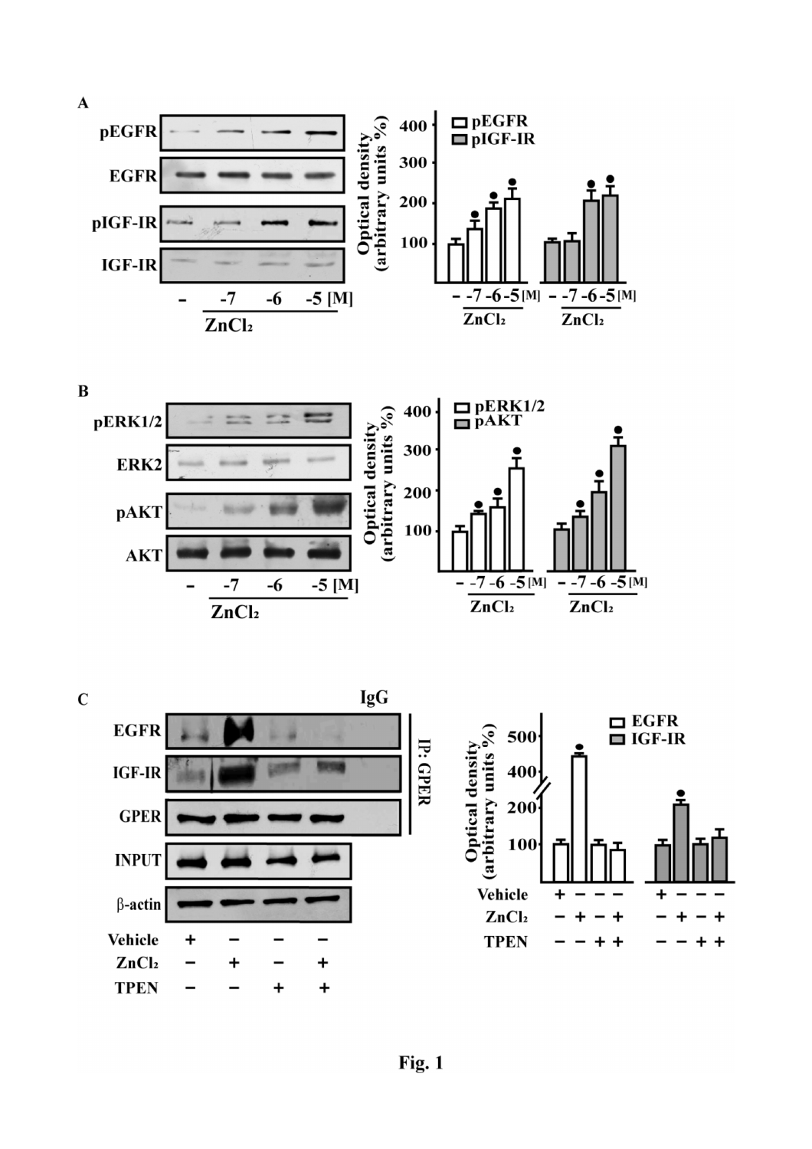